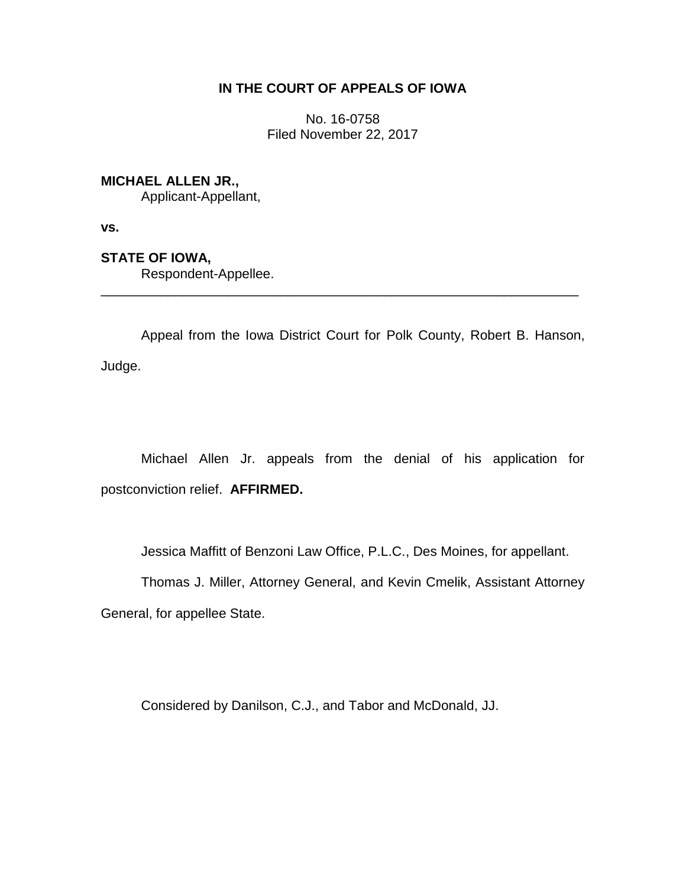### **IN THE COURT OF APPEALS OF IOWA**

No. 16-0758 Filed November 22, 2017

#### **MICHAEL ALLEN JR.,**

Applicant-Appellant,

**vs.**

# **STATE OF IOWA,**

Respondent-Appellee.

Appeal from the Iowa District Court for Polk County, Robert B. Hanson, Judge.

\_\_\_\_\_\_\_\_\_\_\_\_\_\_\_\_\_\_\_\_\_\_\_\_\_\_\_\_\_\_\_\_\_\_\_\_\_\_\_\_\_\_\_\_\_\_\_\_\_\_\_\_\_\_\_\_\_\_\_\_\_\_\_\_

Michael Allen Jr. appeals from the denial of his application for postconviction relief. **AFFIRMED.**

Jessica Maffitt of Benzoni Law Office, P.L.C., Des Moines, for appellant.

Thomas J. Miller, Attorney General, and Kevin Cmelik, Assistant Attorney General, for appellee State.

Considered by Danilson, C.J., and Tabor and McDonald, JJ.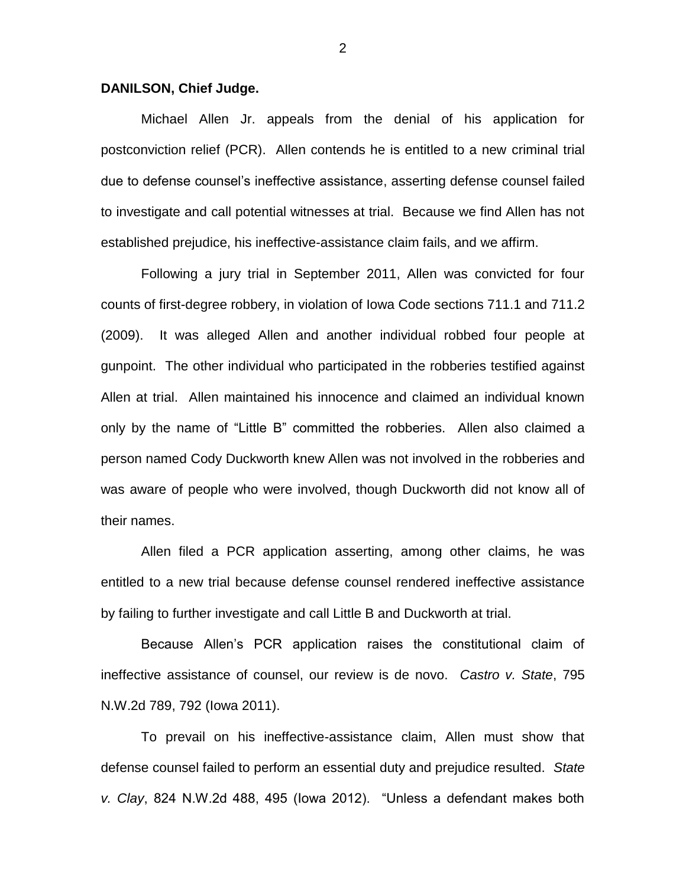#### **DANILSON, Chief Judge.**

Michael Allen Jr. appeals from the denial of his application for postconviction relief (PCR). Allen contends he is entitled to a new criminal trial due to defense counsel's ineffective assistance, asserting defense counsel failed to investigate and call potential witnesses at trial. Because we find Allen has not established prejudice, his ineffective-assistance claim fails, and we affirm.

Following a jury trial in September 2011, Allen was convicted for four counts of first-degree robbery, in violation of Iowa Code sections 711.1 and 711.2 (2009). It was alleged Allen and another individual robbed four people at gunpoint. The other individual who participated in the robberies testified against Allen at trial. Allen maintained his innocence and claimed an individual known only by the name of "Little B" committed the robberies. Allen also claimed a person named Cody Duckworth knew Allen was not involved in the robberies and was aware of people who were involved, though Duckworth did not know all of their names.

Allen filed a PCR application asserting, among other claims, he was entitled to a new trial because defense counsel rendered ineffective assistance by failing to further investigate and call Little B and Duckworth at trial.

Because Allen's PCR application raises the constitutional claim of ineffective assistance of counsel, our review is de novo. *Castro v. State*, 795 N.W.2d 789, 792 (Iowa 2011).

To prevail on his ineffective-assistance claim, Allen must show that defense counsel failed to perform an essential duty and prejudice resulted. *State v. Clay*, 824 N.W.2d 488, 495 (Iowa 2012). "Unless a defendant makes both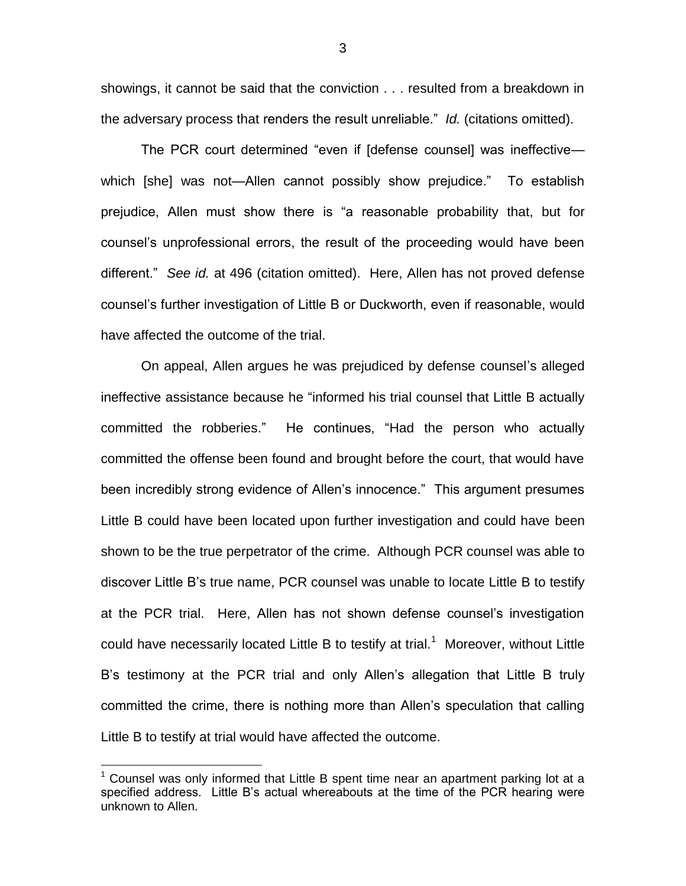showings, it cannot be said that the conviction . . . resulted from a breakdown in the adversary process that renders the result unreliable." *Id.* (citations omitted).

The PCR court determined "even if [defense counsel] was ineffective which [she] was not—Allen cannot possibly show prejudice." To establish prejudice, Allen must show there is "a reasonable probability that, but for counsel's unprofessional errors, the result of the proceeding would have been different." *See id.* at 496 (citation omitted). Here, Allen has not proved defense counsel's further investigation of Little B or Duckworth, even if reasonable, would have affected the outcome of the trial.

On appeal, Allen argues he was prejudiced by defense counsel's alleged ineffective assistance because he "informed his trial counsel that Little B actually committed the robberies." He continues, "Had the person who actually committed the offense been found and brought before the court, that would have been incredibly strong evidence of Allen's innocence." This argument presumes Little B could have been located upon further investigation and could have been shown to be the true perpetrator of the crime. Although PCR counsel was able to discover Little B's true name, PCR counsel was unable to locate Little B to testify at the PCR trial. Here, Allen has not shown defense counsel's investigation could have necessarily located Little B to testify at trial.<sup>1</sup> Moreover, without Little B's testimony at the PCR trial and only Allen's allegation that Little B truly committed the crime, there is nothing more than Allen's speculation that calling Little B to testify at trial would have affected the outcome.

 $\overline{a}$ 

3

 $1$  Counsel was only informed that Little B spent time near an apartment parking lot at a specified address. Little B's actual whereabouts at the time of the PCR hearing were unknown to Allen.